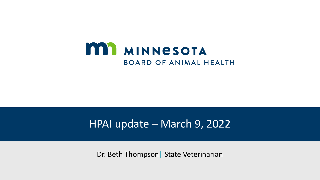

## HPAI update – March 9, 2022

Dr. Beth Thompson | State Veterinarian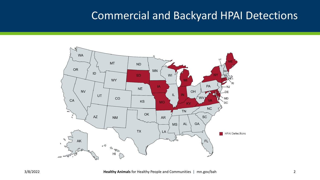#### Commercial and Backyard HPAI Detections

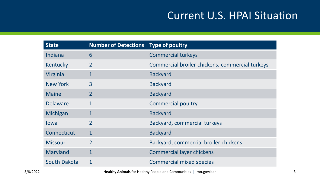## Current U.S. HPAI Situation

| <b>State</b>        | <b>Number of Detections</b> | Type of poultry                                 |
|---------------------|-----------------------------|-------------------------------------------------|
| Indiana             | 6                           | <b>Commercial turkeys</b>                       |
| Kentucky            | $\overline{2}$              | Commercial broiler chickens, commercial turkeys |
| Virginia            | $\mathbf{1}$                | <b>Backyard</b>                                 |
| New York            | 3                           | <b>Backyard</b>                                 |
| <b>Maine</b>        | $\overline{2}$              | <b>Backyard</b>                                 |
| <b>Delaware</b>     | 1                           | <b>Commercial poultry</b>                       |
| Michigan            | $\mathbf{1}$                | <b>Backyard</b>                                 |
| lowa                | $\overline{2}$              | Backyard, commercial turkeys                    |
| Connecticut         | $\mathbf 1$                 | <b>Backyard</b>                                 |
| <b>Missouri</b>     | $\overline{2}$              | Backyard, commercial broiler chickens           |
| Maryland            | $\mathbf 1$                 | <b>Commercial layer chickens</b>                |
| <b>South Dakota</b> | 1                           | <b>Commercial mixed species</b>                 |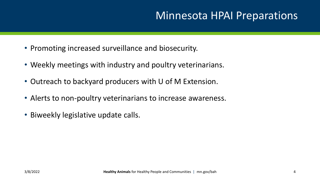## Minnesota HPAI Preparations

- Promoting increased surveillance and biosecurity.
- Weekly meetings with industry and poultry veterinarians.
- Outreach to backyard producers with U of M Extension.
- Alerts to non-poultry veterinarians to increase awareness.
- Biweekly legislative update calls.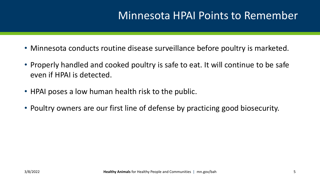#### Minnesota HPAI Points to Remember

- Minnesota conducts routine disease surveillance before poultry is marketed.
- Properly handled and cooked poultry is safe to eat. It will continue to be safe even if HPAI is detected.
- HPAI poses a low human health risk to the public.
- Poultry owners are our first line of defense by practicing good biosecurity.